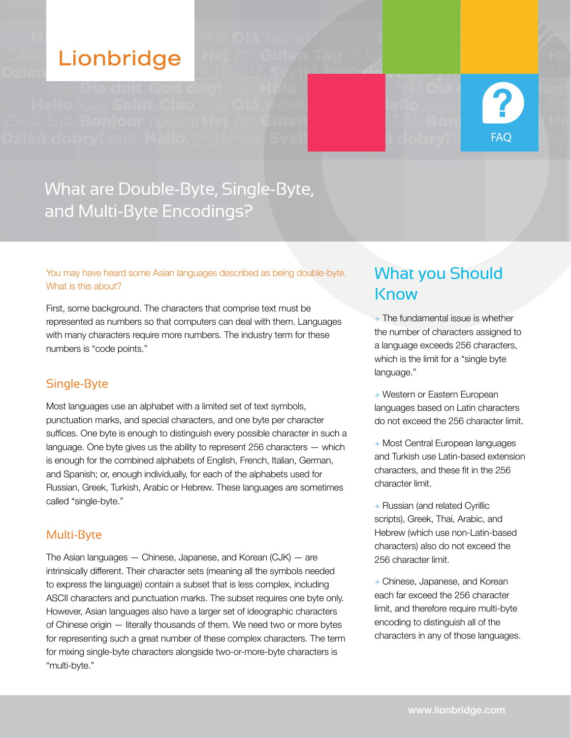# Lionbridge



# What are Double-Byte, Single-Byte, and Multi-Byte Encodings?

You may have heard some Asian languages described as being double-byte. What is this about?

First, some background. The characters that comprise text must be represented as numbers so that computers can deal with them. Languages with many characters require more numbers. The industry term for these numbers is "code points."

# Single-Byte

Most languages use an alphabet with a limited set of text symbols, punctuation marks, and special characters, and one byte per character suffices. One byte is enough to distinguish every possible character in such a language. One byte gives us the ability to represent 256 characters — which is enough for the combined alphabets of English, French, Italian, German, and Spanish; or, enough individually, for each of the alphabets used for Russian, Greek, Turkish, Arabic or Hebrew. These languages are sometimes called "single-byte."

# Multi-Byte

The Asian languages — Chinese, Japanese, and Korean (CJK) — are intrinsically different. Their character sets (meaning all the symbols needed to express the language) contain a subset that is less complex, including ASCII characters and punctuation marks. The subset requires one byte only. However, Asian languages also have a larger set of ideographic characters of Chinese origin — literally thousands of them. We need two or more bytes for representing such a great number of these complex characters. The term for mixing single-byte characters alongside two-or-more-byte characters is "multi-byte."

# What you Should **Know**

- $+$  The fundamental issue is whether the number of characters assigned to a language exceeds 256 characters, which is the limit for a "single byte language."
- + Western or Eastern European languages based on Latin characters do not exceed the 256 character limit.
- + Most Central European languages and Turkish use Latin-based extension characters, and these fit in the 256 character limit.
- + Russian (and related Cyrillic scripts), Greek, Thai, Arabic, and Hebrew (which use non-Latin-based characters) also do not exceed the 256 character limit.
- + Chinese, Japanese, and Korean each far exceed the 256 character limit, and therefore require multi-byte encoding to distinguish all of the characters in any of those languages.